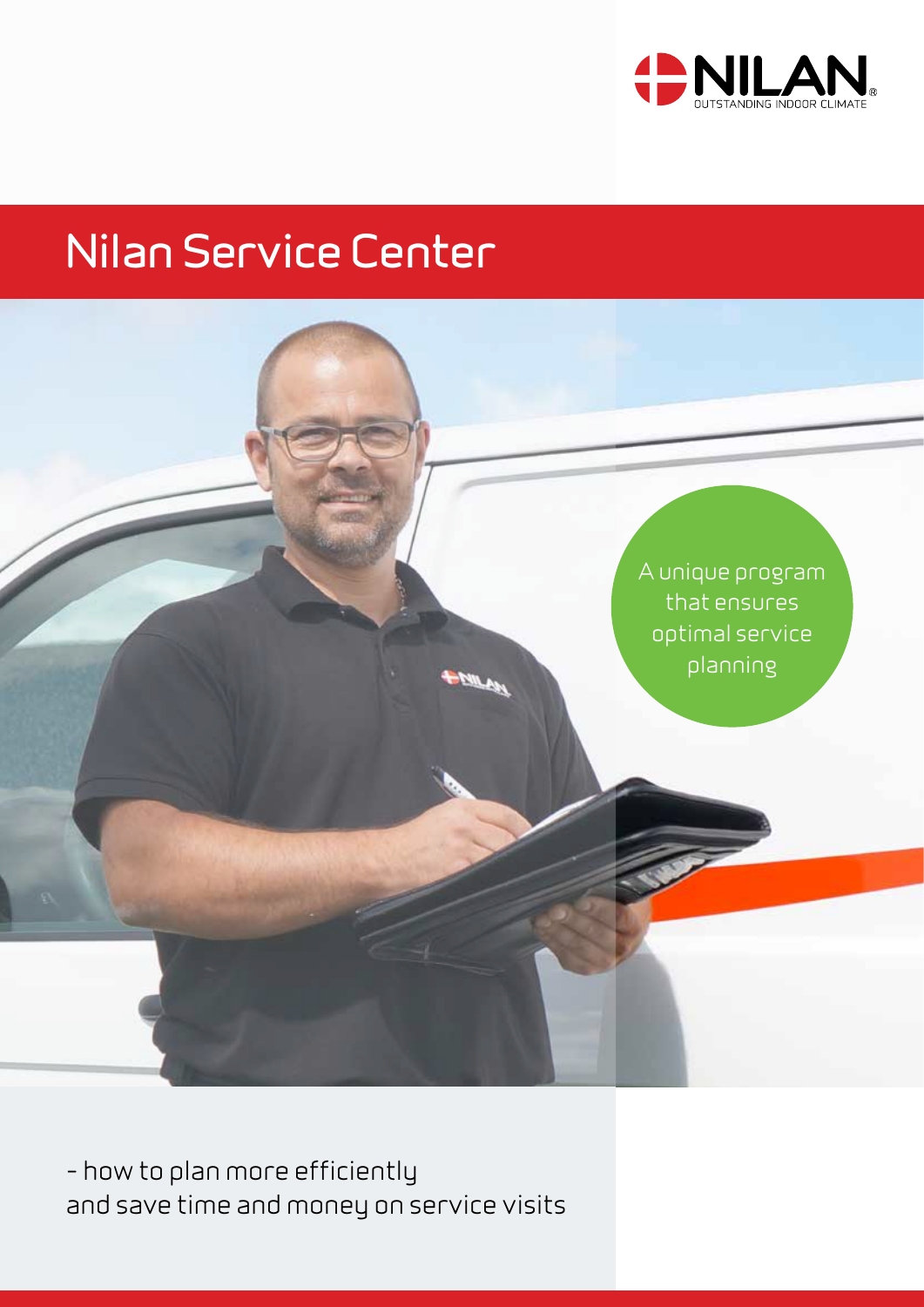



– how to plan more efficiently and save time and money on service visits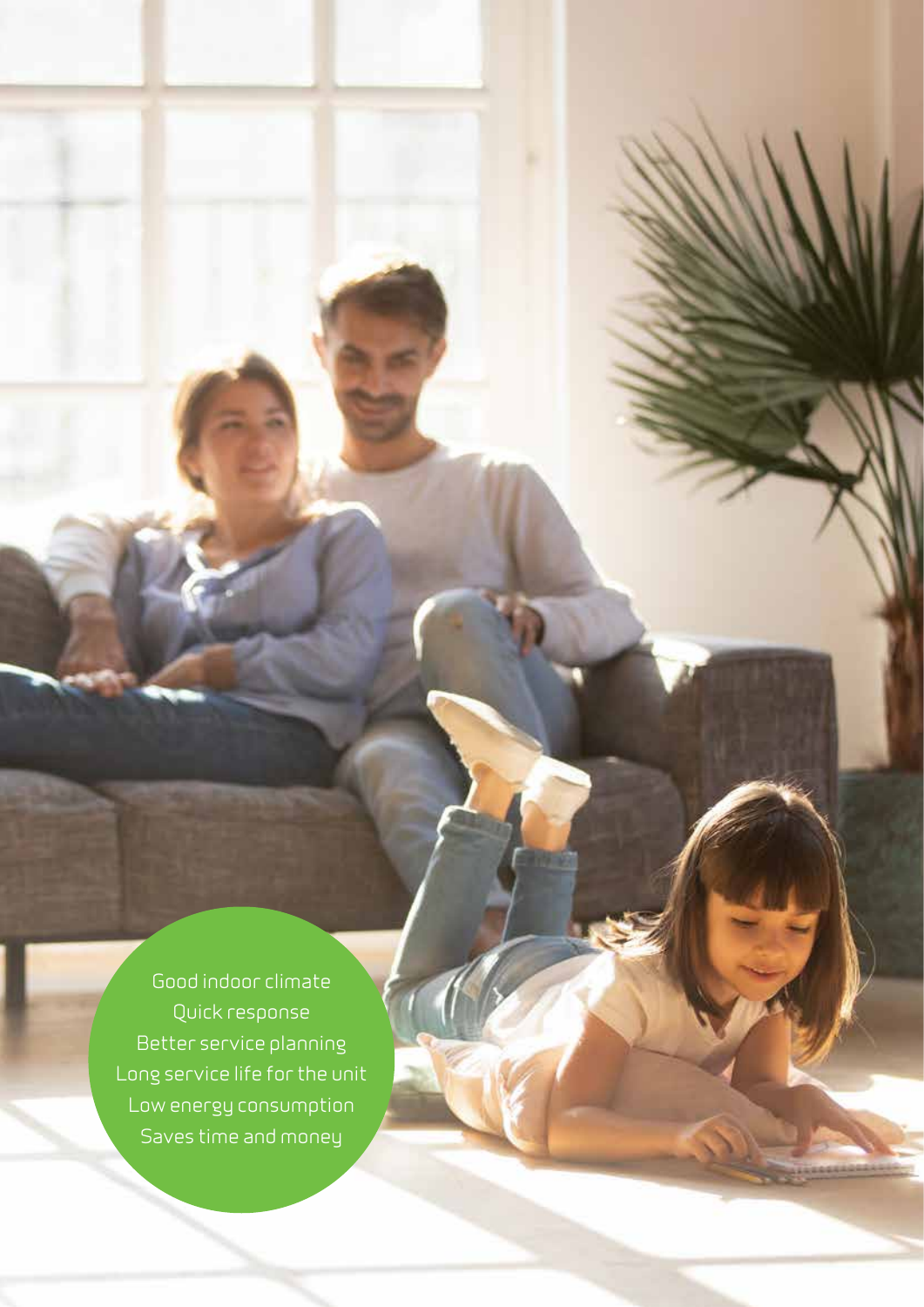Good indoor climate Quick response Better service planning Long service life for the unit Low energy consumption Saves time and money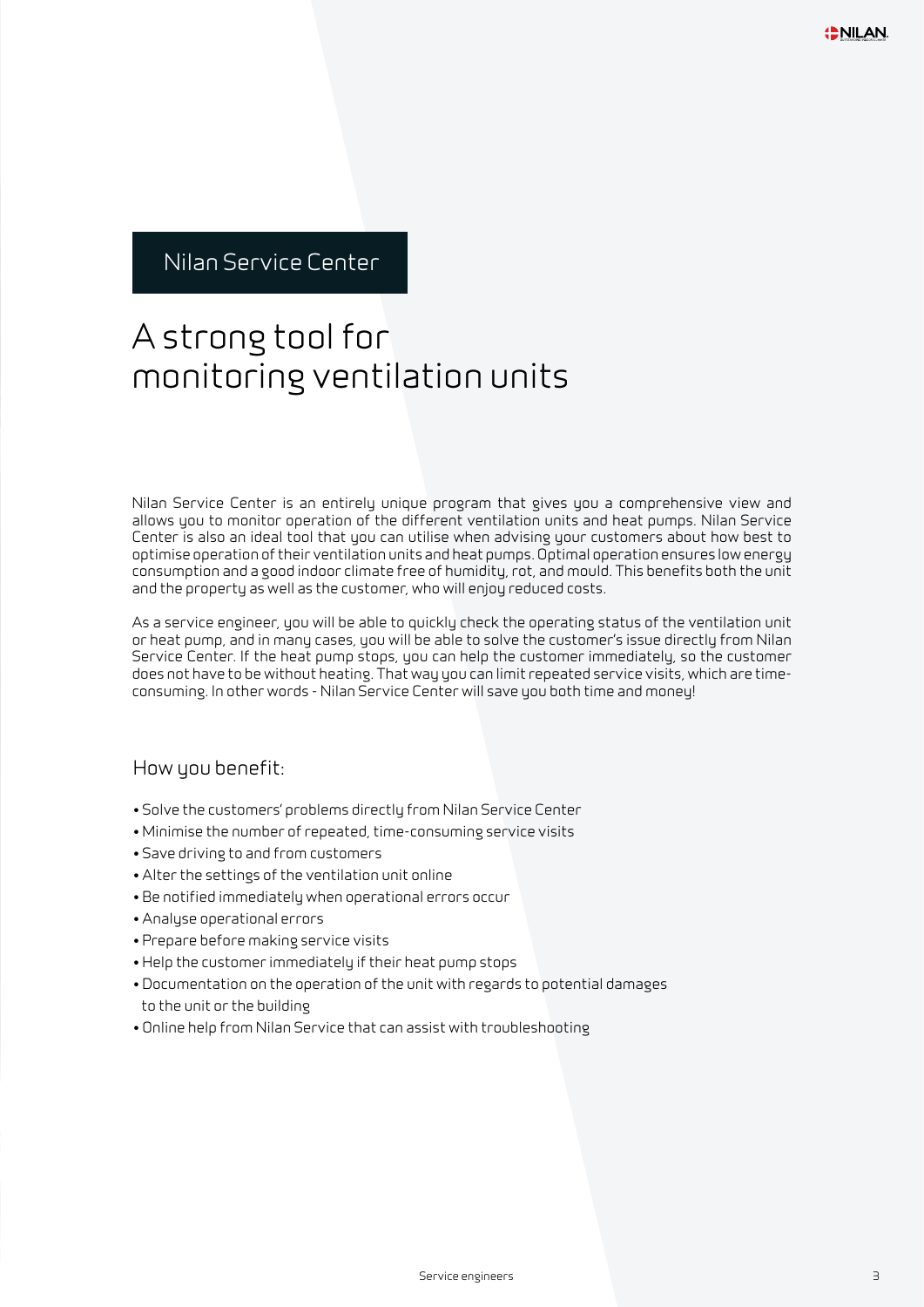#### A strong tool for monitoring ventilation units

Nilan Service Center is an entirely unique program that gives you a comprehensive view and allows you to monitor operation of the different ventilation units and heat pumps. Nilan Service Center is also an ideal tool that you can utilise when advising your customers about how best to optimise operation of their ventilation units and heat pumps. Optimal operation ensures low energy consumption and a good indoor climate free of humidity, rot, and mould. This benefits both the unit and the property as well as the customer, who will enjoy reduced costs.

As a service engineer, you will be able to quickly check the operating status of the ventilation unit or heat pump, and in many cases, you will be able to solve the customer's issue directly from Nilan Service Center. If the heat pump stops, you can help the customer immediately, so the customer does not have to be without heating. That way you can limit repeated service visits, which are timeconsuming. In other words - Nilan Service Center will save you both time and money!

#### How you benefit:

- Solve the customers' problems directly from Nilan Service Center
- Minimise the number of repeated, time-consuming service visits
- Save driving to and from customers
- Alter the settings of the ventilation unit online
- Be notified immediately when operational errors occur
- Analyse operational errors
- Prepare before making service visits
- Help the customer immediately if their heat pump stops
- Documentation on the operation of the unit with regards to potential damages to the unit or the building
- Online help from Nilan Service that can assist with troubleshooting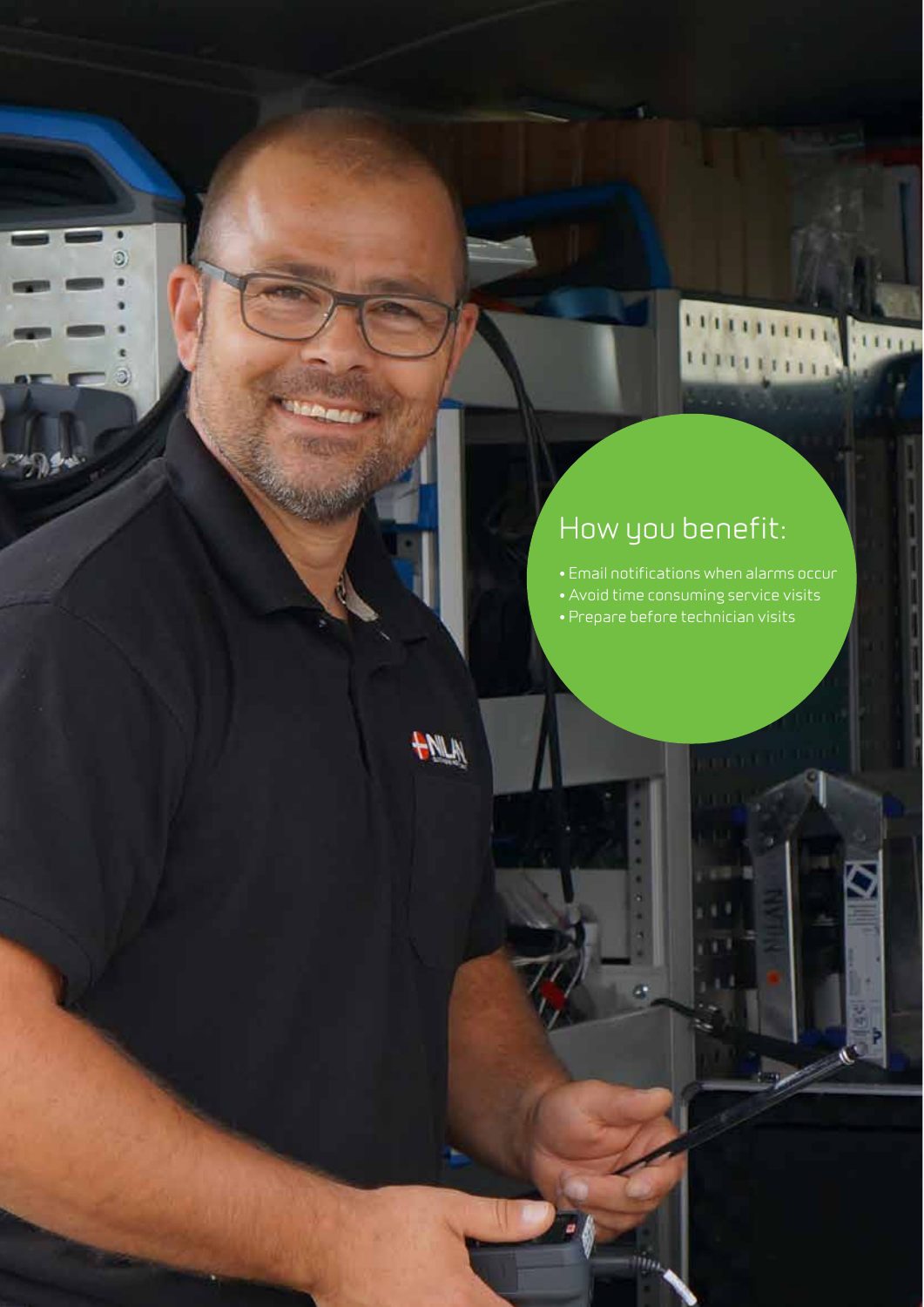# How you benefit:

• Email notifications when alarms occur

**DELLETTE** 

umpini

 $1111$ 

- Avoid time consuming service visits
- Prepare before technician visits

 $\hat{m}_{\mu}$ 



O

а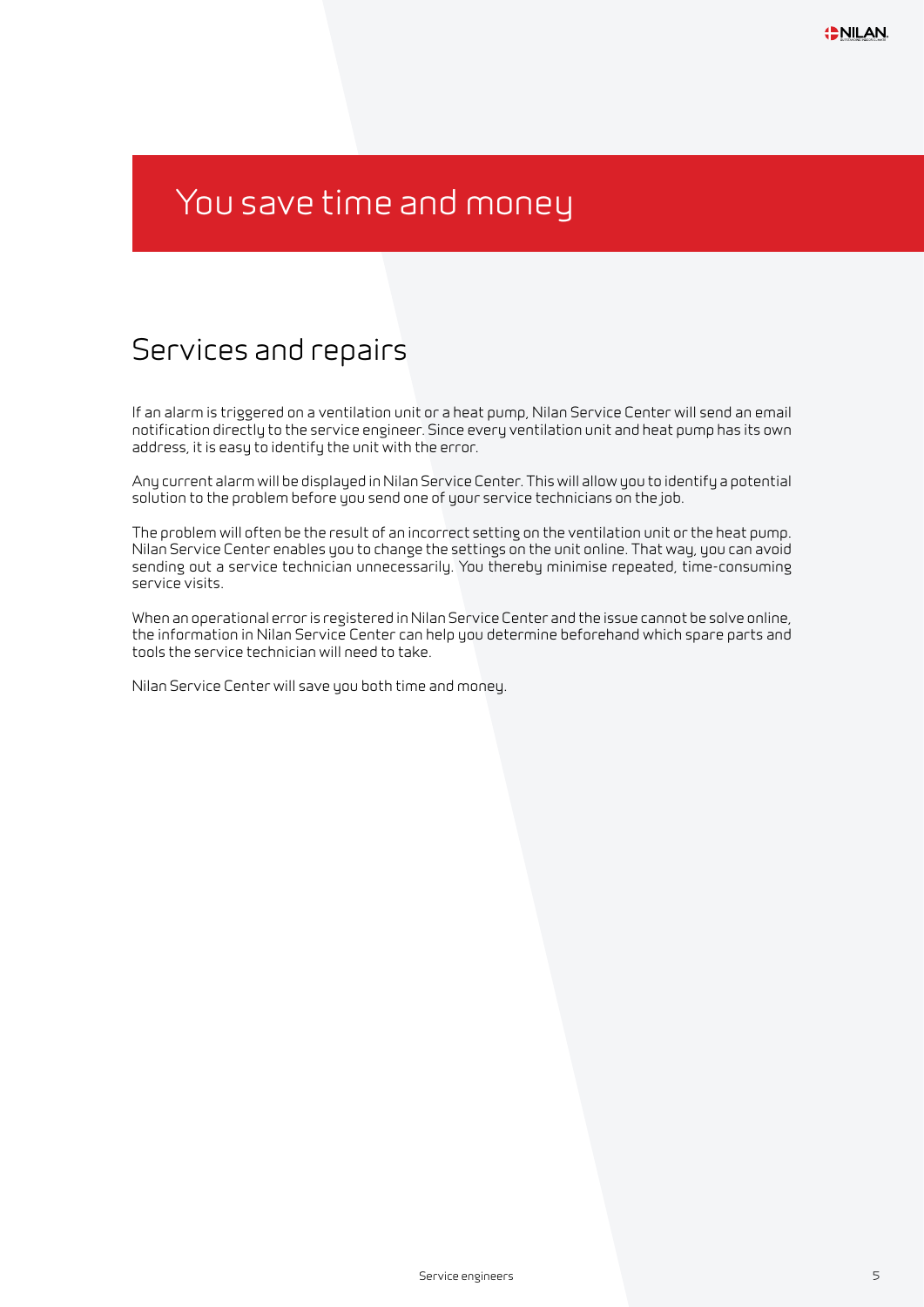# You save time and money

#### Services and repairs

If an alarm is triggered on a ventilation unit or a heat pump, Nilan Service Center will send an email notification directly to the service engineer. Since every ventilation unit and heat pump has its own address, it is easy to identify the unit with the error.

Any current alarm will be displayed in Nilan Service Center. This will allow you to identify a potential solution to the problem before you send one of your service technicians on the job.

The problem will often be the result of an incorrect setting on the ventilation unit or the heat pump. Nilan Service Center enables you to change the settings on the unit online. That way, you can avoid sending out a service technician unnecessarily. You thereby minimise repeated, time-consuming service visits.

When an operational error is registered in Nilan Service Center and the issue cannot be solve online, the information in Nilan Service Center can help you determine beforehand which spare parts and tools the service technician will need to take.

Nilan Service Center will save you both time and money.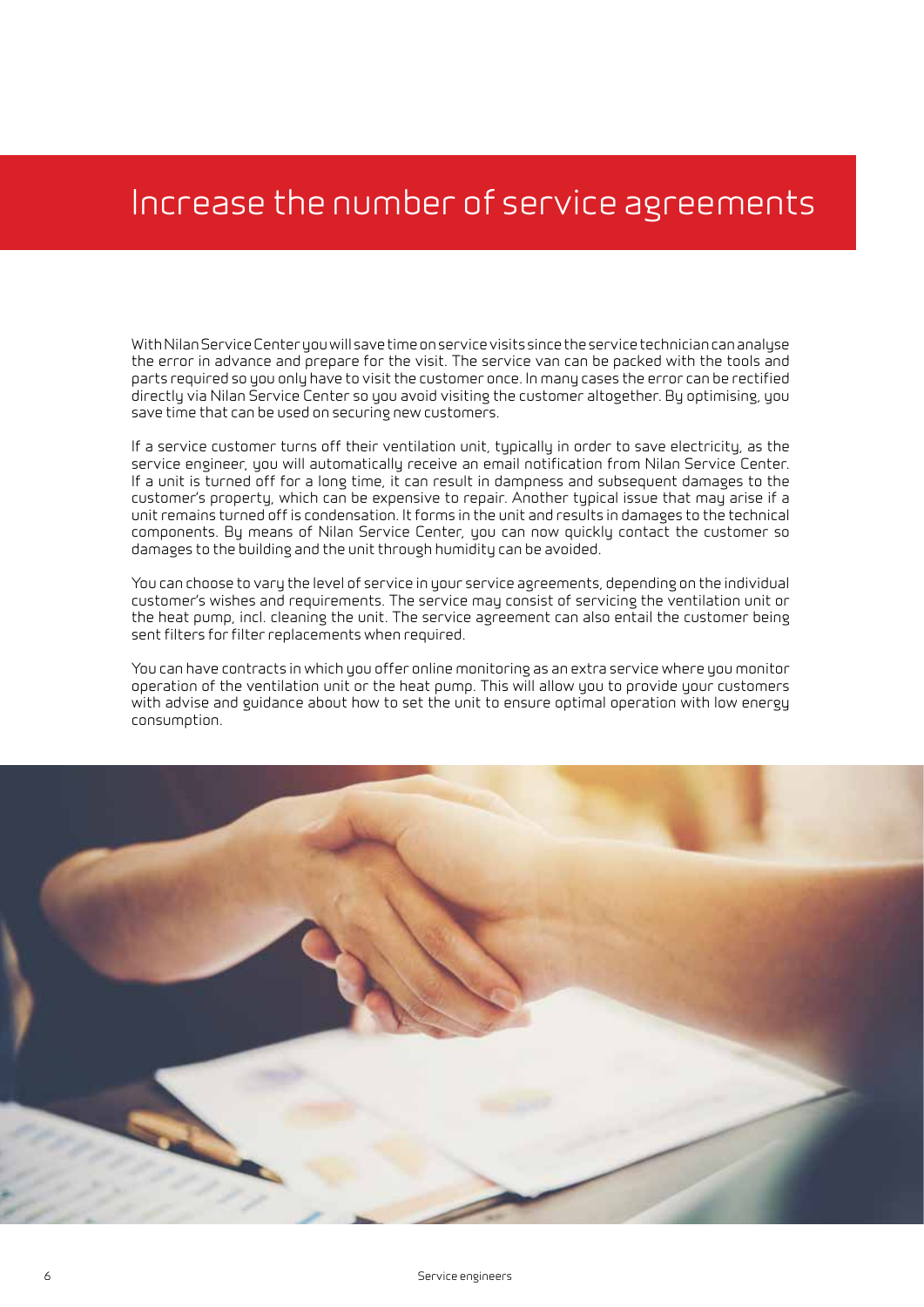### Increase the number of service agreements

With Nilan Service Center you will save time on service visits since the service technician can analyse the error in advance and prepare for the visit. The service van can be packed with the tools and parts required so you only have to visit the customer once. In many cases the error can be rectified directly via Nilan Service Center so you avoid visiting the customer altogether. By optimising, you save time that can be used on securing new customers.

If a service customer turns off their ventilation unit, typically in order to save electricity, as the service engineer, you will automatically receive an email notification from Nilan Service Center. If a unit is turned off for a long time, it can result in dampness and subsequent damages to the customer's property, which can be expensive to repair. Another typical issue that may arise if a unit remains turned off is condensation. It forms in the unit and results in damages to the technical components. By means of Nilan Service Center, you can now quickly contact the customer so damages to the building and the unit through humidity can be avoided.

You can choose to vary the level of service in your service agreements, depending on the individual customer's wishes and requirements. The service may consist of servicing the ventilation unit or the heat pump, incl. cleaning the unit. The service agreement can also entail the customer being sent filters for filter replacements when required.

You can have contracts in which you offer online monitoring as an extra service where you monitor operation of the ventilation unit or the heat pump. This will allow you to provide your customers with advise and guidance about how to set the unit to ensure optimal operation with low energy consumption.

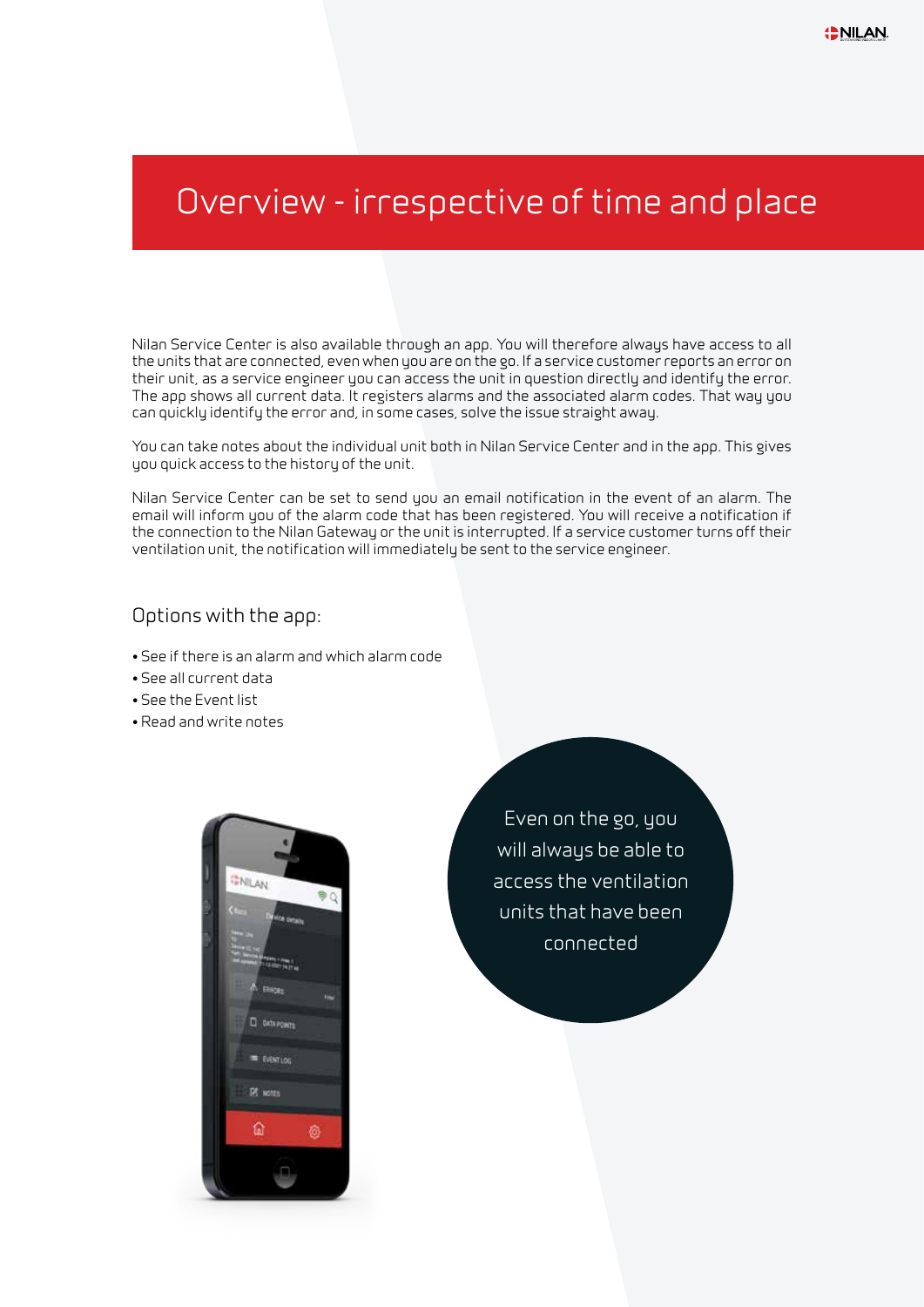#### Overview - irrespective of time and place

Nilan Service Center is also available through an app. You will therefore always have access to all the units that are connected, even when you are on the go. If a service customer reports an error on their unit, as a service engineer you can access the unit in question directly and identify the error. The app shows all current data. It registers alarms and the associated alarm codes. That way you can quickly identify the error and, in some cases, solve the issue straight away.

You can take notes about the individual unit both in Nilan Service Center and in the app. This gives you quick access to the history of the unit.

Nilan Service Center can be set to send you an email notification in the event of an alarm. The email will inform you of the alarm code that has been registered. You will receive a notification if the connection to the Nilan Gateway or the unit is interrupted. If a service customer turns off their ventilation unit, the notification will immediately be sent to the service engineer.

#### Options with the app:

- See if there is an alarm and which alarm code
- See all current data
- See the Event list
- Read and write notes



Even on the go, you will always be able to access the ventilation units that have been connected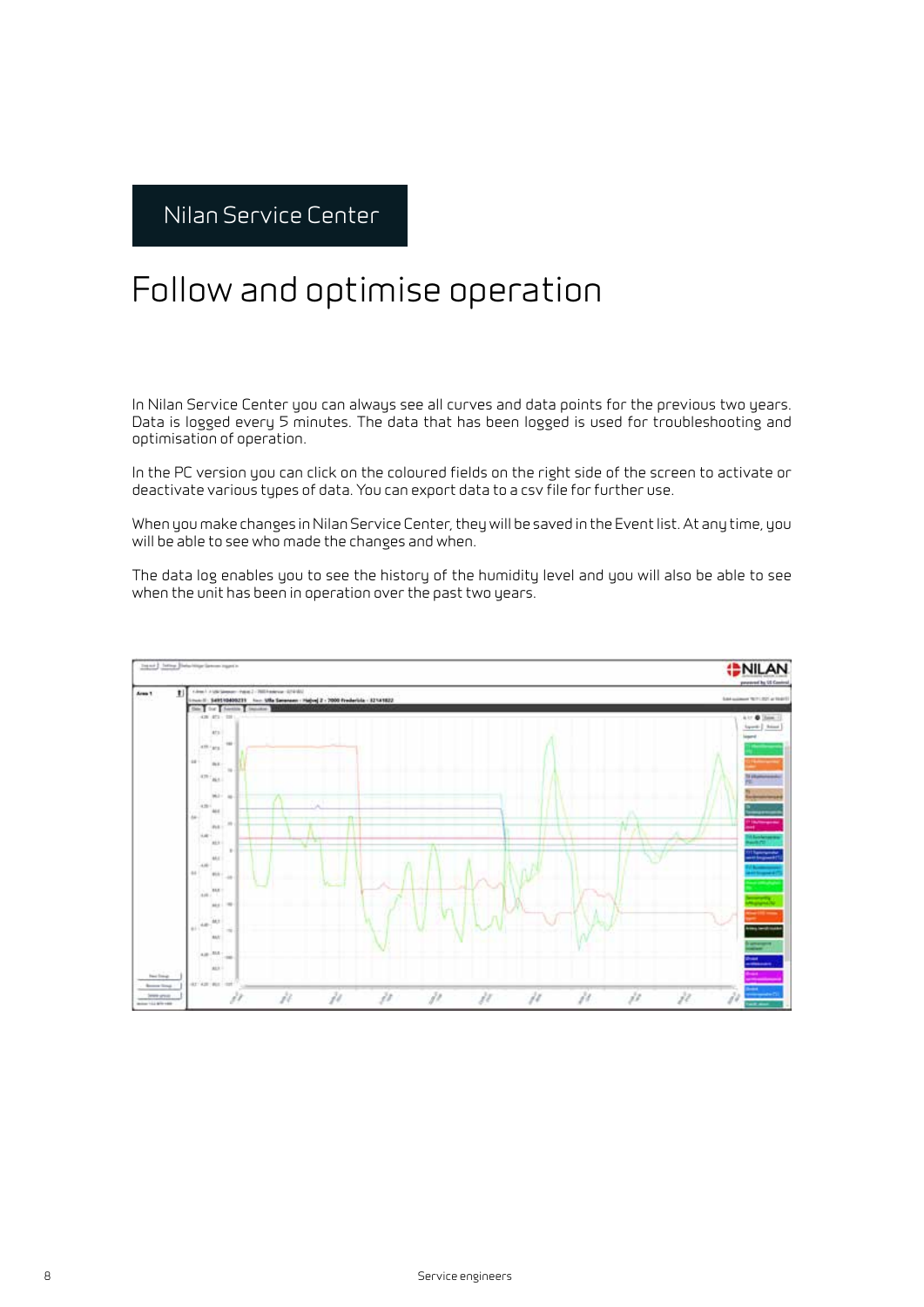#### Follow and optimise operation

In Nilan Service Center you can always see all curves and data points for the previous two years. Data is logged every 5 minutes. The data that has been logged is used for troubleshooting and optimisation of operation.

In the PC version you can click on the coloured fields on the right side of the screen to activate or deactivate various types of data. You can export data to a csv file for further use.

When you make changes in Nilan Service Center, they will be saved in the Event list. At any time, you will be able to see who made the changes and when.

The data log enables you to see the history of the humidity level and you will also be able to see when the unit has been in operation over the past two years.

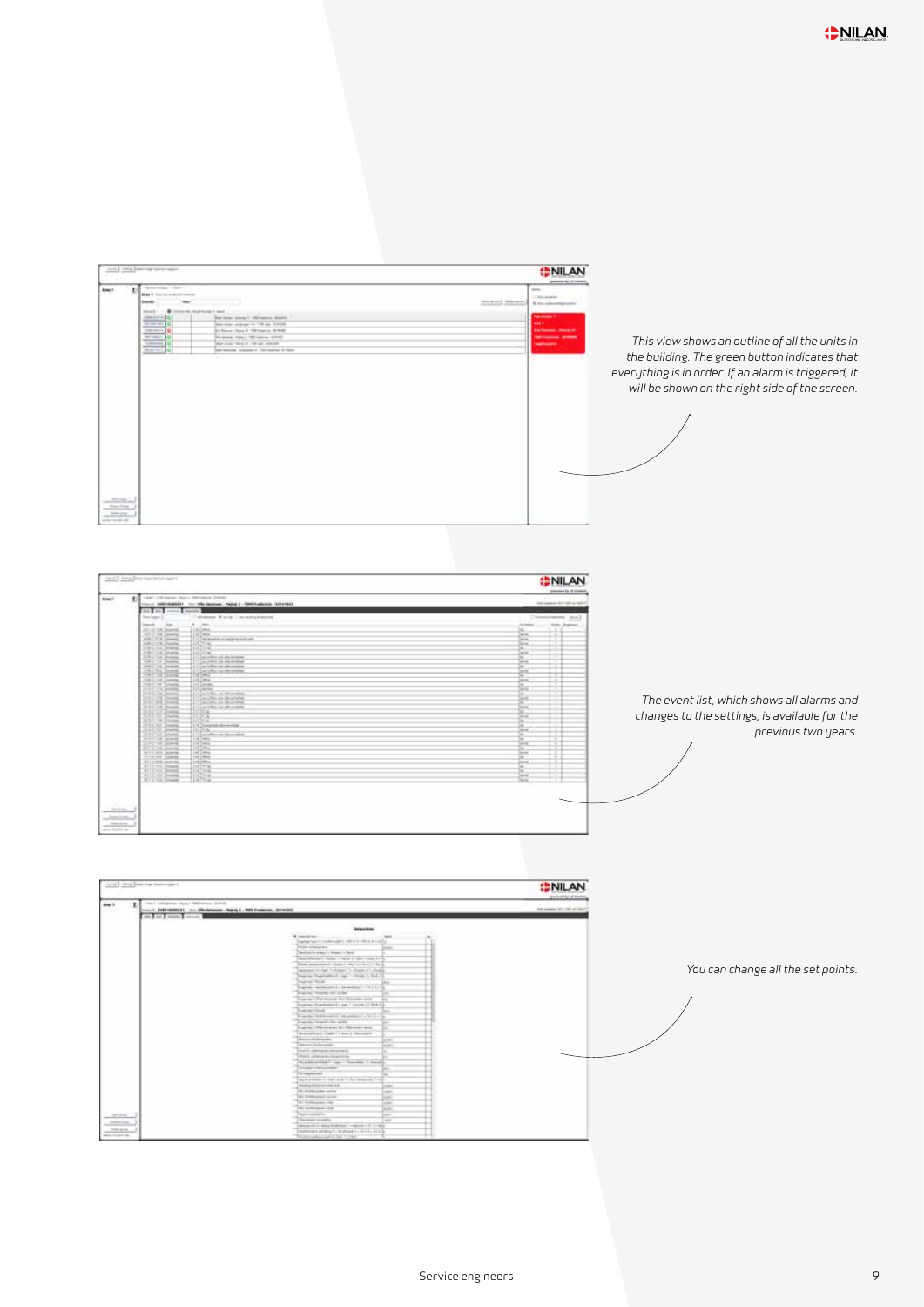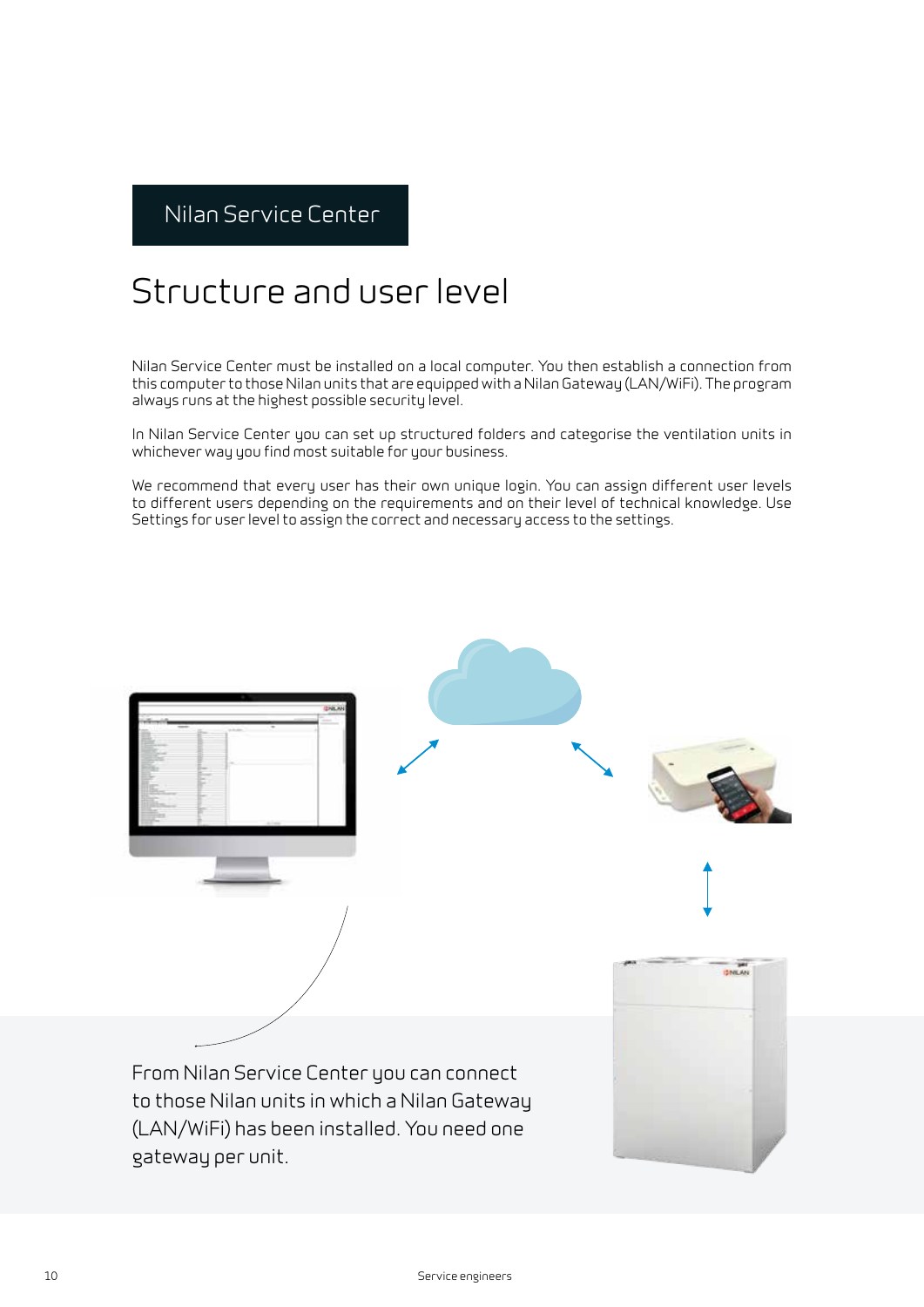#### Structure and user level

Nilan Service Center must be installed on a local computer. You then establish a connection from this computer to those Nilan units that are equipped with a Nilan Gateway (LAN/WiFi). The program always runs at the highest possible security level.

In Nilan Service Center you can set up structured folders and categorise the ventilation units in whichever way you find most suitable for your business.

We recommend that every user has their own unique login. You can assign different user levels to different users depending on the requirements and on their level of technical knowledge. Use Settings for user level to assign the correct and necessary access to the settings.

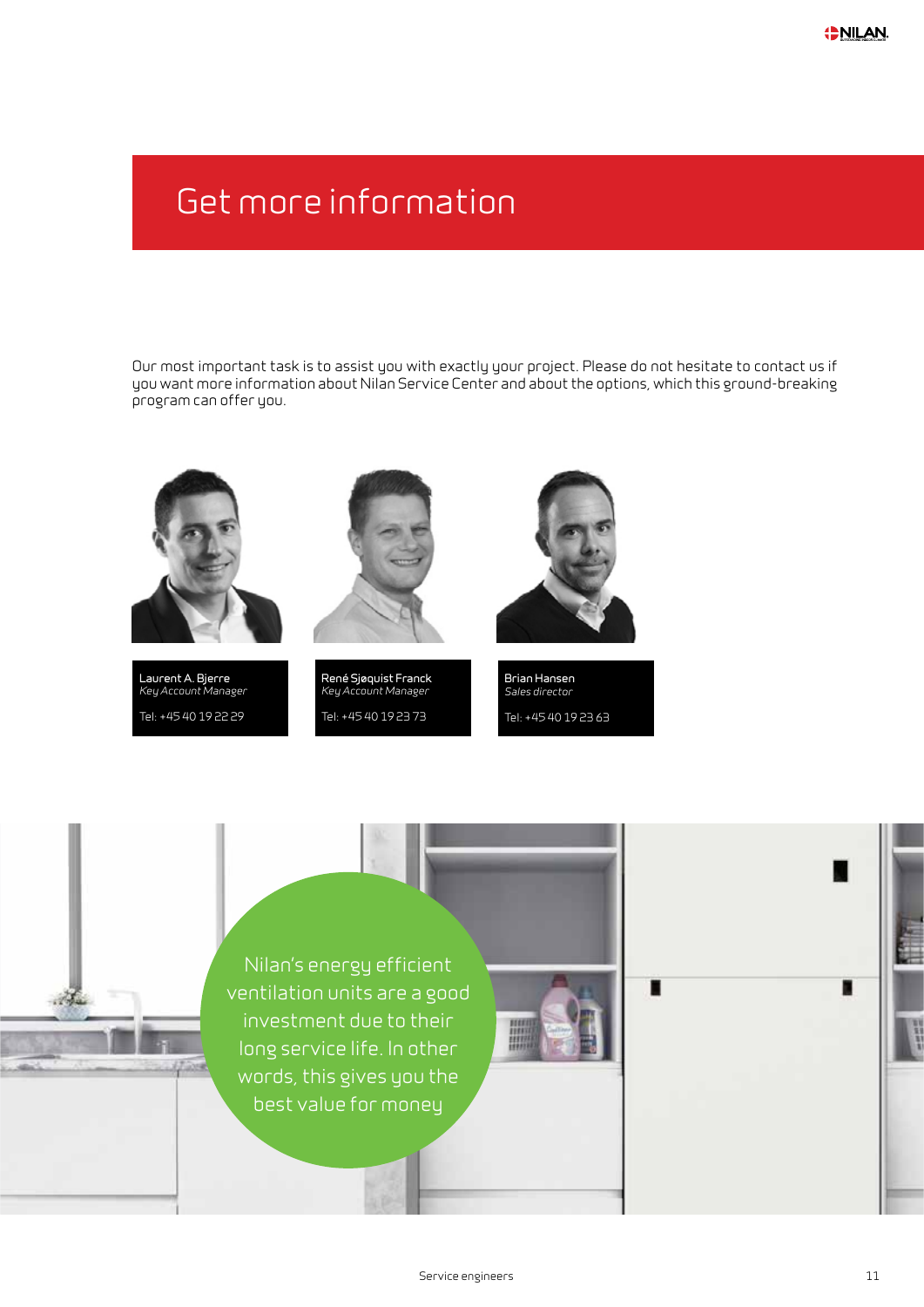### Get more information

Our most important task is to assist you with exactly your project. Please do not hesitate to contact us if you want more information about Nilan Service Center and about the options, which this ground-breaking program can offer you.